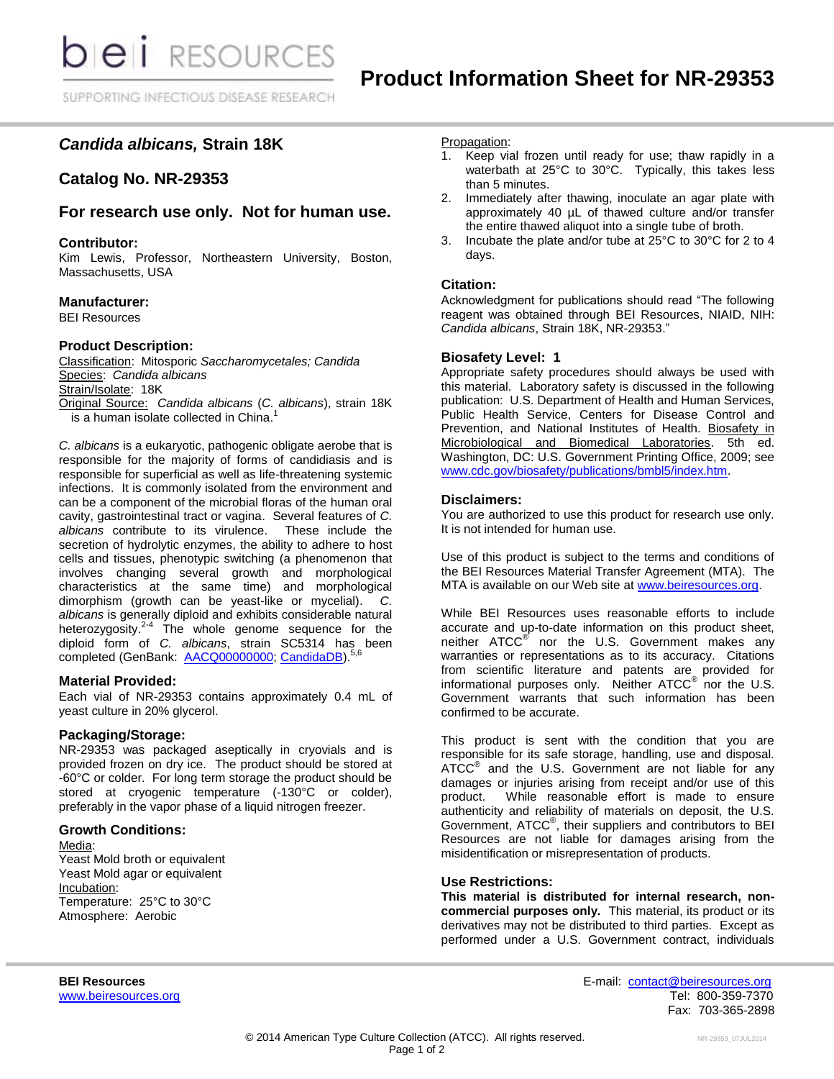# *Candida albicans,* **Strain 18K**

## **Catalog No. NR-29353**

## **For research use only. Not for human use.**

## **Contributor:**

Kim Lewis, Professor, Northeastern University, Boston, Massachusetts, USA

## **Manufacturer:**

BEI Resources

## **Product Description:**

Classification: Mitosporic *Saccharomycetales; Candida* Species: *Candida albicans* Strain/Isolate: 18K Original Source: *Candida albicans* (*C. albicans*), strain 18K

 $\frac{1}{2}$  a human isolate collected in China.<sup>1</sup>

*C. albicans* is a eukaryotic, pathogenic obligate aerobe that is responsible for the majority of forms of candidiasis and is responsible for superficial as well as life-threatening systemic infections. It is commonly isolated from the environment and can be a component of the microbial floras of the human oral cavity, gastrointestinal tract or vagina. Several features of *C. albicans* contribute to its virulence. These include the secretion of hydrolytic enzymes, the ability to adhere to host cells and tissues, phenotypic switching (a phenomenon that involves changing several growth and morphological characteristics at the same time) and morphological dimorphism (growth can be yeast-like or mycelial). *C. albicans* is generally diploid and exhibits considerable natural heterozygosity.<sup>2-4</sup> The whole genome sequence for the diploid form of *C. albicans*, strain SC5314 has been completed (GenBank: [AACQ00000000;](http://www.ncbi.nlm.nih.gov/nuccore/AACQ00000000) [CandidaDB\)](http://genolist.pasteur.fr/CandidaDB/).<sup>5,6</sup>

## **Material Provided:**

Each vial of NR-29353 contains approximately 0.4 mL of yeast culture in 20% glycerol.

## **Packaging/Storage:**

NR-29353 was packaged aseptically in cryovials and is provided frozen on dry ice. The product should be stored at -60°C or colder. For long term storage the product should be stored at cryogenic temperature (-130°C or colder), preferably in the vapor phase of a liquid nitrogen freezer.

#### **Growth Conditions:**

Media: Yeast Mold broth or equivalent Yeast Mold agar or equivalent Incubation: Temperature: 25°C to 30°C Atmosphere: Aerobic

#### Propagation:

- 1. Keep vial frozen until ready for use; thaw rapidly in a waterbath at 25°C to 30°C. Typically, this takes less than 5 minutes.
- 2. Immediately after thawing, inoculate an agar plate with approximately 40 µL of thawed culture and/or transfer the entire thawed aliquot into a single tube of broth.
- 3. Incubate the plate and/or tube at 25°C to 30°C for 2 to 4 days.

## **Citation:**

Acknowledgment for publications should read "The following reagent was obtained through BEI Resources, NIAID, NIH: *Candida albicans*, Strain 18K, NR-29353."

#### **Biosafety Level: 1**

Appropriate safety procedures should always be used with this material. Laboratory safety is discussed in the following publication: U.S. Department of Health and Human Services, Public Health Service, Centers for Disease Control and Prevention, and National Institutes of Health. Biosafety in Microbiological and Biomedical Laboratories. 5th ed. Washington, DC: U.S. Government Printing Office, 2009; see [www.cdc.gov/biosafety/publications/bmbl5/index.htm.](http://www.cdc.gov/biosafety/publications/bmbl5/index.htm)

#### **Disclaimers:**

You are authorized to use this product for research use only. It is not intended for human use.

Use of this product is subject to the terms and conditions of the BEI Resources Material Transfer Agreement (MTA). The MTA is available on our Web site at [www.beiresources.org.](http://www.beiresources.org/)

While BEI Resources uses reasonable efforts to include accurate and up-to-date information on this product sheet, neither ATCC<sup>®</sup> nor the U.S. Government makes any warranties or representations as to its accuracy. Citations from scientific literature and patents are provided for informational purposes only. Neither  $ATCC^{\circledast}$  nor the U.S. Government warrants that such information has been confirmed to be accurate.

This product is sent with the condition that you are responsible for its safe storage, handling, use and disposal. ATCC<sup>®</sup> and the U.S. Government are not liable for any damages or injuries arising from receipt and/or use of this product. While reasonable effort is made to ensure authenticity and reliability of materials on deposit, the U.S. Government, ATCC<sup>®</sup>, their suppliers and contributors to BEI Resources are not liable for damages arising from the misidentification or misrepresentation of products.

#### **Use Restrictions:**

**This material is distributed for internal research, noncommercial purposes only.** This material, its product or its derivatives may not be distributed to third parties. Except as performed under a U.S. Government contract, individuals

**BEI Resources** E-mail: [contact@beiresources.org](mailto:contact@beiresources.org) [www.beiresources.org](http://www.beiresources.org/) **Tel: 800-359-7370** Fax: 703-365-2898